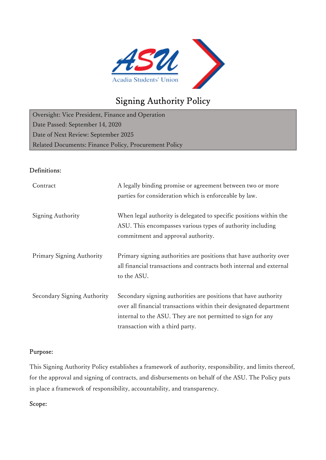

# Signing Authority Policy

Oversight: Vice President, Finance and Operation Date Passed: September 14, 2020 Date of Next Review: September 2025 Related Documents: Finance Policy, Procurement Policy

# Definitions:

| Contract                    | A legally binding promise or agreement between two or more<br>parties for consideration which is enforceable by law.                                                                                                                    |
|-----------------------------|-----------------------------------------------------------------------------------------------------------------------------------------------------------------------------------------------------------------------------------------|
| Signing Authority           | When legal authority is delegated to specific positions within the<br>ASU. This encompasses various types of authority including<br>commitment and approval authority.                                                                  |
| Primary Signing Authority   | Primary signing authorities are positions that have authority over<br>all financial transactions and contracts both internal and external<br>to the ASU.                                                                                |
| Secondary Signing Authority | Secondary signing authorities are positions that have authority<br>over all financial transactions within their designated department<br>internal to the ASU. They are not permitted to sign for any<br>transaction with a third party. |

# Purpose:

This Signing Authority Policy establishes a framework of authority, responsibility, and limits thereof, for the approval and signing of contracts, and disbursements on behalf of the ASU. The Policy puts in place a framework of responsibility, accountability, and transparency.

## Scope: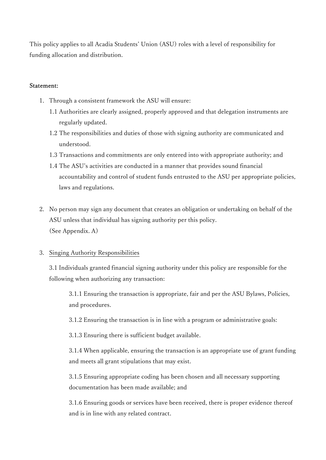This policy applies to all Acadia Students' Union (ASU) roles with a level of responsibility for funding allocation and distribution.

#### Statement:

- 1. Through a consistent framework the ASU will ensure:
	- 1.1 Authorities are clearly assigned, properly approved and that delegation instruments are regularly updated.
	- 1.2 The responsibilities and duties of those with signing authority are communicated and understood.
	- 1.3 Transactions and commitments are only entered into with appropriate authority; and
	- 1.4 The ASU's activities are conducted in a manner that provides sound financial accountability and control of student funds entrusted to the ASU per appropriate policies, laws and regulations.
- 2. No person may sign any document that creates an obligation or undertaking on behalf of the ASU unless that individual has signing authority per this policy. (See Appendix. A)

## 3. Singing Authority Responsibilities

3.1 Individuals granted financial signing authority under this policy are responsible for the following when authorizing any transaction:

3.1.1 Ensuring the transaction is appropriate, fair and per the ASU Bylaws, Policies, and procedures.

3.1.2 Ensuring the transaction is in line with a program or administrative goals:

3.1.3 Ensuring there is sufficient budget available.

3.1.4 When applicable, ensuring the transaction is an appropriate use of grant funding and meets all grant stipulations that may exist.

3.1.5 Ensuring appropriate coding has been chosen and all necessary supporting documentation has been made available; and

3.1.6 Ensuring goods or services have been received, there is proper evidence thereof and is in line with any related contract.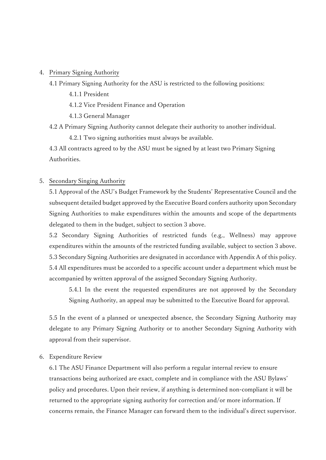#### 4. Primary Signing Authority

- 4.1 Primary Signing Authority for the ASU is restricted to the following positions:
	- 4.1.1 President
	- 4.1.2 Vice President Finance and Operation
	- 4.1.3 General Manager
- 4.2 A Primary Signing Authority cannot delegate their authority to another individual.

4.2.1 Two signing authorities must always be available.

4.3 All contracts agreed to by the ASU must be signed by at least two Primary Signing Authorities.

#### 5. Secondary Singing Authority

5.1 Approval of the ASU's Budget Framework by the Students' Representative Council and the subsequent detailed budget approved by the Executive Board confers authority upon Secondary Signing Authorities to make expenditures within the amounts and scope of the departments delegated to them in the budget, subject to section 3 above.

5.2 Secondary Signing Authorities of restricted funds (e.g., Wellness) may approve expenditures within the amounts of the restricted funding available, subject to section 3 above. 5.3 Secondary Signing Authorities are designated in accordance with Appendix A of this policy. 5.4 All expenditures must be accorded to a specific account under a department which must be accompanied by written approval of the assigned Secondary Signing Authority.

5.4.1 In the event the requested expenditures are not approved by the Secondary Signing Authority, an appeal may be submitted to the Executive Board for approval.

5.5 In the event of a planned or unexpected absence, the Secondary Signing Authority may delegate to any Primary Signing Authority or to another Secondary Signing Authority with approval from their supervisor.

#### 6. Expenditure Review

6.1 The ASU Finance Department will also perform a regular internal review to ensure transactions being authorized are exact, complete and in compliance with the ASU Bylaws' policy and procedures. Upon their review, if anything is determined non-compliant it will be returned to the appropriate signing authority for correction and/or more information. If concerns remain, the Finance Manager can forward them to the individual's direct supervisor.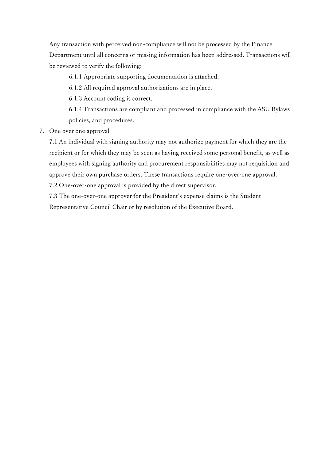Any transaction with perceived non-compliance will not be processed by the Finance Department until all concerns or missing information has been addressed. Transactions will be reviewed to verify the following:

6.1.1 Appropriate supporting documentation is attached.

6.1.2 All required approval authorizations are in place.

6.1.3 Account coding is correct.

6.1.4 Transactions are compliant and processed in compliance with the ASU Bylaws' policies, and procedures.

7. One over one approval

7.1 An individual with signing authority may not authorize payment for which they are the recipient or for which they may be seen as having received some personal benefit, as well as employees with signing authority and procurement responsibilities may not requisition and approve their own purchase orders. These transactions require one-over-one approval.

7.2 One-over-one approval is provided by the direct supervisor.

7.3 The one-over-one approver for the President's expense claims is the Student

Representative Council Chair or by resolution of the Executive Board.